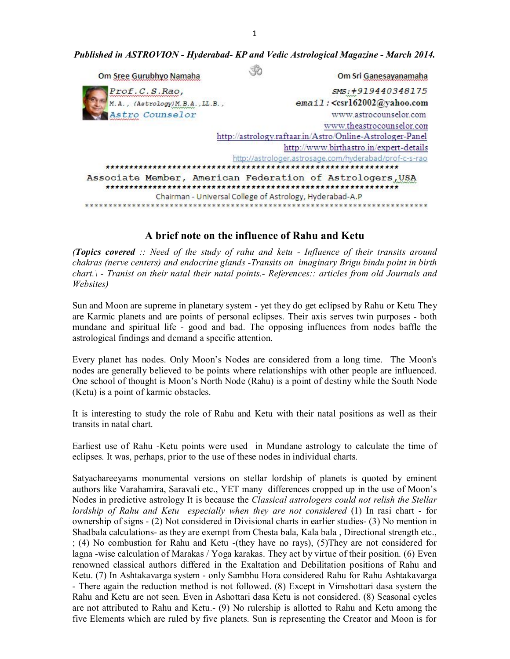*Published in ASTROVION - Hyderabad- KP and Vedic Astrological Magazine - March 2014.*

| Om Sree Gurubhyo Namaha                   | Om Sri Ganesayanamaha                                                                                                 |
|-------------------------------------------|-----------------------------------------------------------------------------------------------------------------------|
| Prof.C.S.Rao,                             | SMS: +919440348175                                                                                                    |
| $M.A.$ , $(Astrology) M.B.A.$ , $LL.B.$ , | email: <csrl62002@yahoo.com< td=""></csrl62002@yahoo.com<>                                                            |
| Astro Counselor                           | www.astrocounselor.com                                                                                                |
|                                           | www.theastrocounselor.com                                                                                             |
|                                           | http://astrology.raftaar.in/Astro/Online-Astrologer-Panel                                                             |
|                                           | http://www.birthastro.in/expert-details                                                                               |
|                                           | http://astrologer.astrosage.com/hyderabad/prof-c-s-rao                                                                |
|                                           |                                                                                                                       |
|                                           | Associate Member, American Federation of Astrologers, USA<br>Chairman - Universal College of Astrology, Hyderabad-A.P |
|                                           |                                                                                                                       |

# **A brief note on the influence of Rahu and Ketu**

*(Topics covered :: Need of the study of rahu and ketu - Influence of their transits around chakras (nerve centers) and endocrine glands -Transits on imaginary Brigu bindu point in birth chart.\ - Tranist on their natal their natal points.- References:: articles from old Journals and Websites)* 

Sun and Moon are supreme in planetary system - yet they do get eclipsed by Rahu or Ketu They are Karmic planets and are points of personal eclipses. Their axis serves twin purposes - both mundane and spiritual life - good and bad. The opposing influences from nodes baffle the astrological findings and demand a specific attention.

Every planet has nodes. Only Moon's Nodes are considered from a long time. The Moon's nodes are generally believed to be points where relationships with other people are influenced. One school of thought is Moon's North Node (Rahu) is a point of destiny while the South Node (Ketu) is a point of karmic obstacles.

It is interesting to study the role of Rahu and Ketu with their natal positions as well as their transits in natal chart.

Earliest use of Rahu -Ketu points were used in Mundane astrology to calculate the time of eclipses. It was, perhaps, prior to the use of these nodes in individual charts.

Satyachareeyams monumental versions on stellar lordship of planets is quoted by eminent authors like Varahamira, Saravali etc., YET many differences cropped up in the use of Moon's Nodes in predictive astrology It is because the *Classical astrologers could not relish the Stellar lordship of Rahu and Ketu especially when they are not considered* (1) In rasi chart - for ownership of signs - (2) Not considered in Divisional charts in earlier studies- (3) No mention in Shadbala calculations- as they are exempt from Chesta bala, Kala bala , Directional strength etc., ; (4) No combustion for Rahu and Ketu -(they have no rays), (5)They are not considered for lagna -wise calculation of Marakas / Yoga karakas. They act by virtue of their position. (6) Even renowned classical authors differed in the Exaltation and Debilitation positions of Rahu and Ketu. (7) In Ashtakavarga system - only Sambhu Hora considered Rahu for Rahu Ashtakavarga - There again the reduction method is not followed. (8) Except in Vimshottari dasa system the Rahu and Ketu are not seen. Even in Ashottari dasa Ketu is not considered. (8) Seasonal cycles are not attributed to Rahu and Ketu.- (9) No rulership is allotted to Rahu and Ketu among the five Elements which are ruled by five planets. Sun is representing the Creator and Moon is for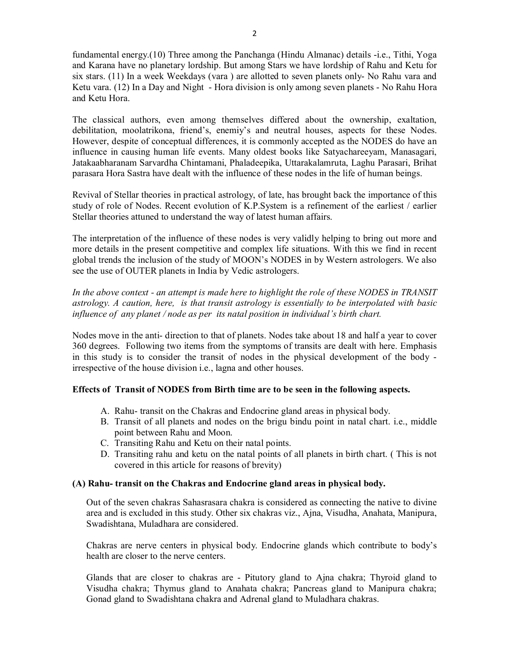fundamental energy.(10) Three among the Panchanga (Hindu Almanac) details -i.e., Tithi, Yoga and Karana have no planetary lordship. But among Stars we have lordship of Rahu and Ketu for six stars. (11) In a week Weekdays (vara ) are allotted to seven planets only- No Rahu vara and Ketu vara. (12) In a Day and Night - Hora division is only among seven planets - No Rahu Hora and Ketu Hora.

The classical authors, even among themselves differed about the ownership, exaltation, debilitation, moolatrikona, friend's, enemiy's and neutral houses, aspects for these Nodes. However, despite of conceptual differences, it is commonly accepted as the NODES do have an influence in causing human life events. Many oldest books like Satyachareeyam, Manasagari, Jatakaabharanam Sarvardha Chintamani, Phaladeepika, Uttarakalamruta, Laghu Parasari, Brihat parasara Hora Sastra have dealt with the influence of these nodes in the life of human beings.

Revival of Stellar theories in practical astrology, of late, has brought back the importance of this study of role of Nodes. Recent evolution of K.P.System is a refinement of the earliest / earlier Stellar theories attuned to understand the way of latest human affairs.

The interpretation of the influence of these nodes is very validly helping to bring out more and more details in the present competitive and complex life situations. With this we find in recent global trends the inclusion of the study of MOON's NODES in by Western astrologers. We also see the use of OUTER planets in India by Vedic astrologers.

*In the above context - an attempt is made here to highlight the role of these NODES in TRANSIT astrology. A caution, here, is that transit astrology is essentially to be interpolated with basic influence of any planet / node as per its natal position in individual's birth chart.*

Nodes move in the anti- direction to that of planets. Nodes take about 18 and half a year to cover 360 degrees. Following two items from the symptoms of transits are dealt with here. Emphasis in this study is to consider the transit of nodes in the physical development of the body irrespective of the house division i.e., lagna and other houses.

# **Effects of Transit of NODES from Birth time are to be seen in the following aspects.**

- A. Rahu- transit on the Chakras and Endocrine gland areas in physical body.
- B. Transit of all planets and nodes on the brigu bindu point in natal chart. i.e., middle point between Rahu and Moon.
- C. Transiting Rahu and Ketu on their natal points.
- D. Transiting rahu and ketu on the natal points of all planets in birth chart. ( This is not covered in this article for reasons of brevity)

## **(A) Rahu- transit on the Chakras and Endocrine gland areas in physical body.**

Out of the seven chakras Sahasrasara chakra is considered as connecting the native to divine area and is excluded in this study. Other six chakras viz., Ajna, Visudha, Anahata, Manipura, Swadishtana, Muladhara are considered.

Chakras are nerve centers in physical body. Endocrine glands which contribute to body's health are closer to the nerve centers.

Glands that are closer to chakras are - Pitutory gland to Ajna chakra; Thyroid gland to Visudha chakra; Thymus gland to Anahata chakra; Pancreas gland to Manipura chakra; Gonad gland to Swadishtana chakra and Adrenal gland to Muladhara chakras.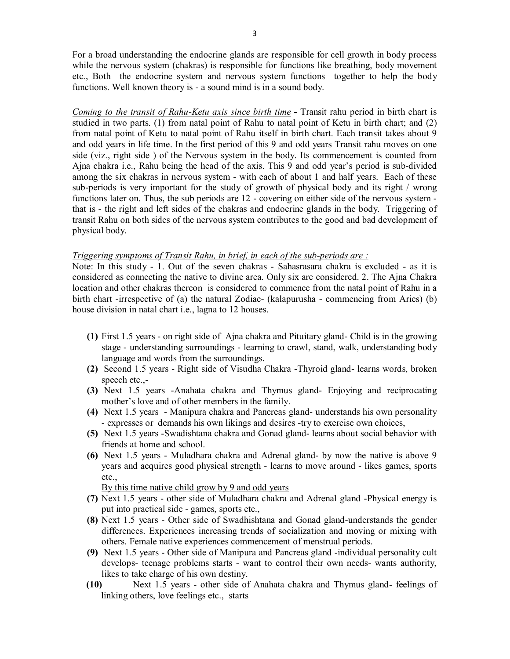For a broad understanding the endocrine glands are responsible for cell growth in body process while the nervous system (chakras) is responsible for functions like breathing, body movement etc., Both the endocrine system and nervous system functions together to help the body functions. Well known theory is - a sound mind is in a sound body.

*Coming to the transit of Rahu-Ketu axis since birth time* **-** Transit rahu period in birth chart is studied in two parts. (1) from natal point of Rahu to natal point of Ketu in birth chart; and (2) from natal point of Ketu to natal point of Rahu itself in birth chart. Each transit takes about 9 and odd years in life time. In the first period of this 9 and odd years Transit rahu moves on one side (viz., right side ) of the Nervous system in the body. Its commencement is counted from Ajna chakra i.e., Rahu being the head of the axis. This 9 and odd year's period is sub-divided among the six chakras in nervous system - with each of about 1 and half years. Each of these sub-periods is very important for the study of growth of physical body and its right / wrong functions later on. Thus, the sub periods are 12 - covering on either side of the nervous system that is - the right and left sides of the chakras and endocrine glands in the body. Triggering of transit Rahu on both sides of the nervous system contributes to the good and bad development of physical body.

#### *Triggering symptoms of Transit Rahu, in brief, in each of the sub-periods are :*

Note: In this study - 1. Out of the seven chakras - Sahasrasara chakra is excluded - as it is considered as connecting the native to divine area. Only six are considered. 2. The Ajna Chakra location and other chakras thereon is considered to commence from the natal point of Rahu in a birth chart -irrespective of (a) the natural Zodiac- (kalapurusha - commencing from Aries) (b) house division in natal chart i.e., lagna to 12 houses.

- **(1)** First 1.5 years on right side of Ajna chakra and Pituitary gland- Child is in the growing stage - understanding surroundings - learning to crawl, stand, walk, understanding body language and words from the surroundings.
- **(2)** Second 1.5 years Right side of Visudha Chakra -Thyroid gland- learns words, broken speech etc.,-
- **(3)** Next 1.5 years -Anahata chakra and Thymus gland- Enjoying and reciprocating mother's love and of other members in the family.
- **(4)** Next 1.5 years Manipura chakra and Pancreas gland- understands his own personality - expresses or demands his own likings and desires -try to exercise own choices,
- **(5)** Next 1.5 years -Swadishtana chakra and Gonad gland- learns about social behavior with friends at home and school.
- **(6)** Next 1.5 years Muladhara chakra and Adrenal gland- by now the native is above 9 years and acquires good physical strength - learns to move around - likes games, sports etc.,

By this time native child grow by 9 and odd years

- **(7)** Next 1.5 years other side of Muladhara chakra and Adrenal gland -Physical energy is put into practical side - games, sports etc.,
- **(8)** Next 1.5 years Other side of Swadhishtana and Gonad gland-understands the gender differences. Experiences increasing trends of socialization and moving or mixing with others. Female native experiences commencement of menstrual periods.
- **(9)** Next 1.5 years Other side of Manipura and Pancreas gland -individual personality cult develops- teenage problems starts - want to control their own needs- wants authority, likes to take charge of his own destiny.
- **(10)** Next 1.5 years other side of Anahata chakra and Thymus gland- feelings of linking others, love feelings etc., starts